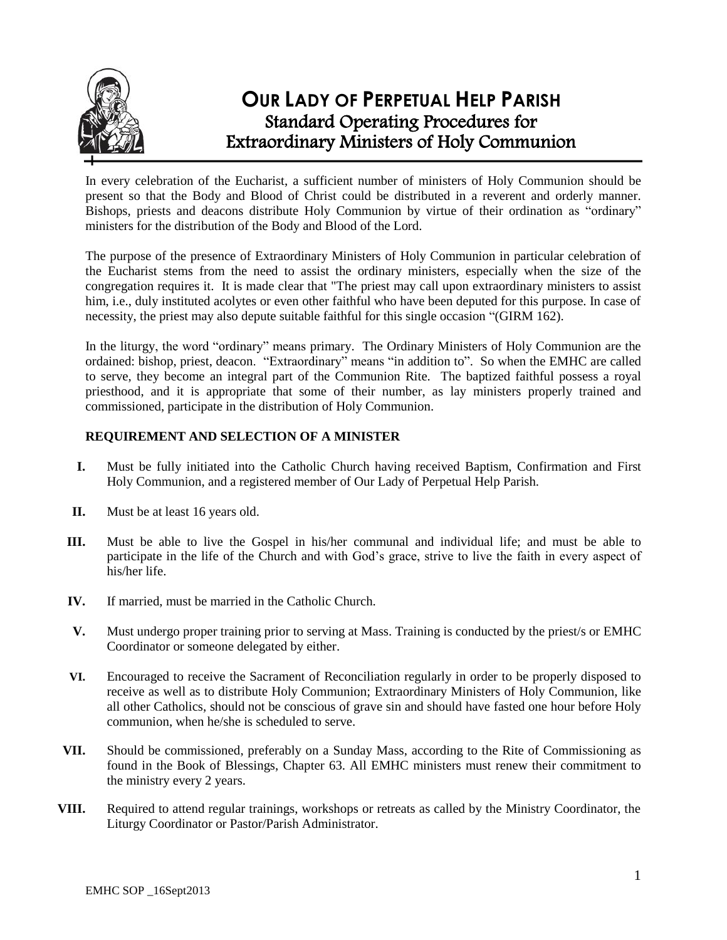

# **OUR LADY OF PERPETUAL HELP PARISH** Standard Operating Procedures for Extraordinary Ministers of Holy Communion

In every celebration of the Eucharist, a sufficient number of ministers of Holy Communion should be present so that the Body and Blood of Christ could be distributed in a reverent and orderly manner. Bishops, priests and deacons distribute Holy Communion by virtue of their ordination as "ordinary" ministers for the distribution of the Body and Blood of the Lord.

The purpose of the presence of Extraordinary Ministers of Holy Communion in particular celebration of the Eucharist stems from the need to assist the ordinary ministers, especially when the size of the congregation requires it. It is made clear that "The priest may call upon extraordinary ministers to assist him, i.e., duly instituted acolytes or even other faithful who have been deputed for this purpose. In case of necessity, the priest may also depute suitable faithful for this single occasion "(GIRM 162).

In the liturgy, the word "ordinary" means primary. The Ordinary Ministers of Holy Communion are the ordained: bishop, priest, deacon. "Extraordinary" means "in addition to". So when the EMHC are called to serve, they become an integral part of the Communion Rite. The baptized faithful possess a royal priesthood, and it is appropriate that some of their number, as lay ministers properly trained and commissioned, participate in the distribution of Holy Communion.

## **REQUIREMENT AND SELECTION OF A MINISTER**

- **I.** Must be fully initiated into the Catholic Church having received Baptism, Confirmation and First Holy Communion, and a registered member of Our Lady of Perpetual Help Parish.
- **II.** Must be at least 16 years old.
- **III.** Must be able to live the Gospel in his/her communal and individual life; and must be able to participate in the life of the Church and with God's grace, strive to live the faith in every aspect of his/her life.
- **IV.** If married, must be married in the Catholic Church.
- **V.** Must undergo proper training prior to serving at Mass. Training is conducted by the priest/s or EMHC Coordinator or someone delegated by either.
- **VI.** Encouraged to receive the Sacrament of Reconciliation regularly in order to be properly disposed to receive as well as to distribute Holy Communion; Extraordinary Ministers of Holy Communion, like all other Catholics, should not be conscious of grave sin and should have fasted one hour before Holy communion, when he/she is scheduled to serve.
- **VII.** Should be commissioned, preferably on a Sunday Mass, according to the Rite of Commissioning as found in the Book of Blessings, Chapter 63. All EMHC ministers must renew their commitment to the ministry every 2 years.
- **VIII.** Required to attend regular trainings, workshops or retreats as called by the Ministry Coordinator, the Liturgy Coordinator or Pastor/Parish Administrator.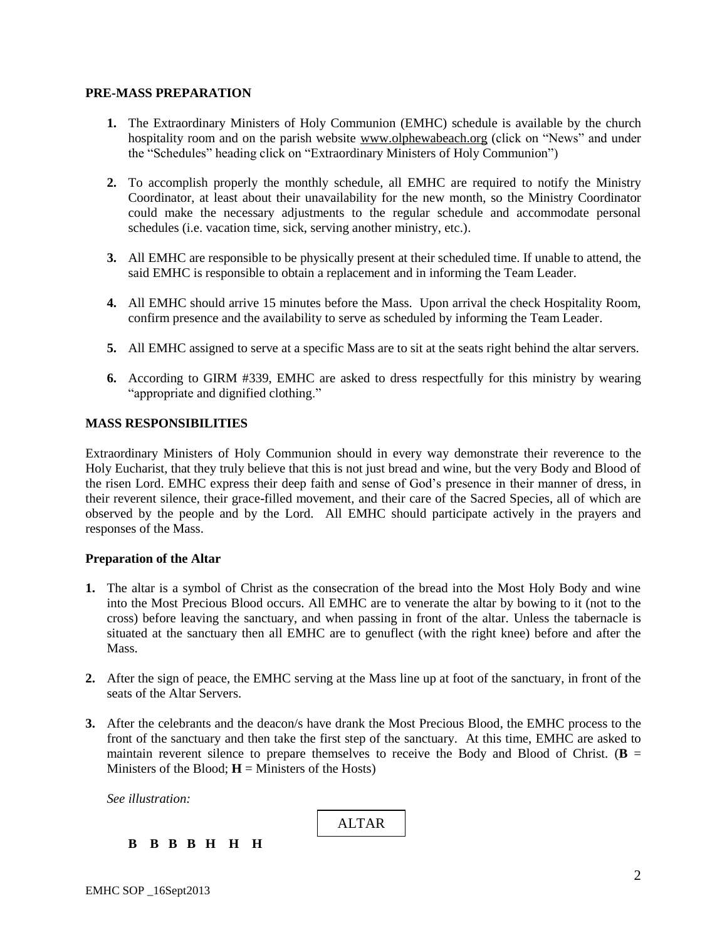#### **PRE-MASS PREPARATION**

- **1.** The Extraordinary Ministers of Holy Communion (EMHC) schedule is available by the church hospitality room and on the parish website [www.olphewabeach.org](http://www.olphewabeach.org/) (click on "News" and under the "Schedules" heading click on "Extraordinary Ministers of Holy Communion")
- **2.** To accomplish properly the monthly schedule, all EMHC are required to notify the Ministry Coordinator, at least about their unavailability for the new month, so the Ministry Coordinator could make the necessary adjustments to the regular schedule and accommodate personal schedules (i.e. vacation time, sick, serving another ministry, etc.).
- **3.** All EMHC are responsible to be physically present at their scheduled time. If unable to attend, the said EMHC is responsible to obtain a replacement and in informing the Team Leader.
- **4.** All EMHC should arrive 15 minutes before the Mass. Upon arrival the check Hospitality Room, confirm presence and the availability to serve as scheduled by informing the Team Leader.
- **5.** All EMHC assigned to serve at a specific Mass are to sit at the seats right behind the altar servers.
- **6.** According to GIRM #339, EMHC are asked to dress respectfully for this ministry by wearing "appropriate and dignified clothing."

#### **MASS RESPONSIBILITIES**

Extraordinary Ministers of Holy Communion should in every way demonstrate their reverence to the Holy Eucharist, that they truly believe that this is not just bread and wine, but the very Body and Blood of the risen Lord. EMHC express their deep faith and sense of God's presence in their manner of dress, in their reverent silence, their grace-filled movement, and their care of the Sacred Species, all of which are observed by the people and by the Lord. All EMHC should participate actively in the prayers and responses of the Mass.

#### **Preparation of the Altar**

- **1.** The altar is a symbol of Christ as the consecration of the bread into the Most Holy Body and wine into the Most Precious Blood occurs. All EMHC are to venerate the altar by bowing to it (not to the cross) before leaving the sanctuary, and when passing in front of the altar. Unless the tabernacle is situated at the sanctuary then all EMHC are to genuflect (with the right knee) before and after the Mass.
- **2.** After the sign of peace, the EMHC serving at the Mass line up at foot of the sanctuary, in front of the seats of the Altar Servers.
- **3.** After the celebrants and the deacon/s have drank the Most Precious Blood, the EMHC process to the front of the sanctuary and then take the first step of the sanctuary. At this time, EMHC are asked to maintain reverent silence to prepare themselves to receive the Body and Blood of Christ. ( $\bf{B}$  = Ministers of the Blood;  $H =$  Ministers of the Hosts)

*See illustration:*

ALTAR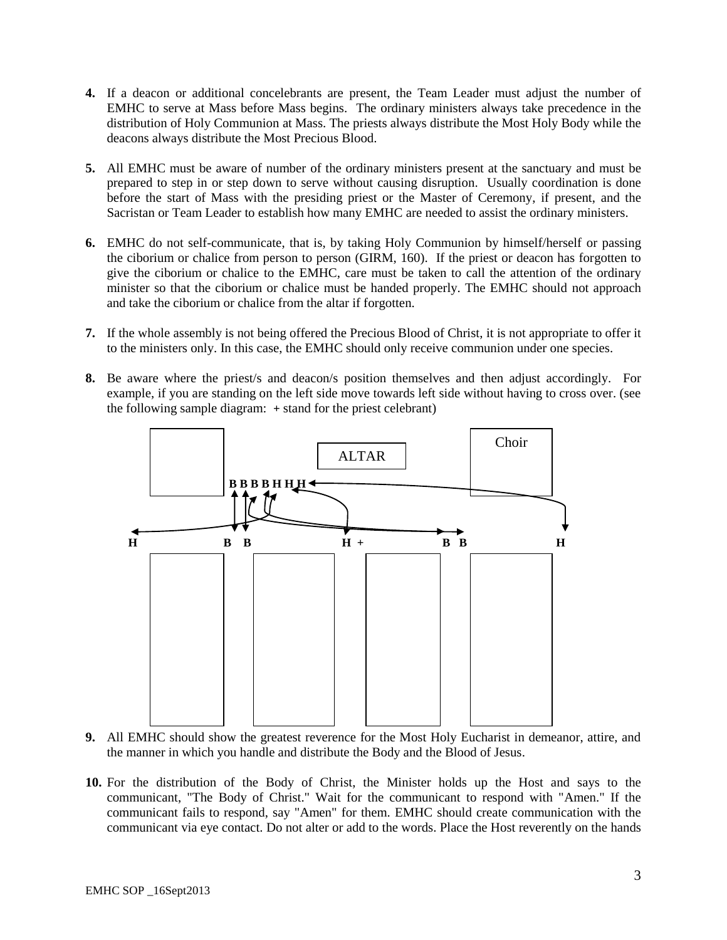- **4.** If a deacon or additional concelebrants are present, the Team Leader must adjust the number of EMHC to serve at Mass before Mass begins. The ordinary ministers always take precedence in the distribution of Holy Communion at Mass. The priests always distribute the Most Holy Body while the deacons always distribute the Most Precious Blood.
- **5.** All EMHC must be aware of number of the ordinary ministers present at the sanctuary and must be prepared to step in or step down to serve without causing disruption. Usually coordination is done before the start of Mass with the presiding priest or the Master of Ceremony, if present, and the Sacristan or Team Leader to establish how many EMHC are needed to assist the ordinary ministers.
- **6.** EMHC do not self-communicate, that is, by taking Holy Communion by himself/herself or passing the ciborium or chalice from person to person (GIRM, 160). If the priest or deacon has forgotten to give the ciborium or chalice to the EMHC, care must be taken to call the attention of the ordinary minister so that the ciborium or chalice must be handed properly. The EMHC should not approach and take the ciborium or chalice from the altar if forgotten.
- **7.** If the whole assembly is not being offered the Precious Blood of Christ, it is not appropriate to offer it to the ministers only. In this case, the EMHC should only receive communion under one species.
- **8.** Be aware where the priest/s and deacon/s position themselves and then adjust accordingly. For example, if you are standing on the left side move towards left side without having to cross over. (see the following sample diagram: **+** stand for the priest celebrant)



- **9.** All EMHC should show the greatest reverence for the Most Holy Eucharist in demeanor, attire, and the manner in which you handle and distribute the Body and the Blood of Jesus.
- **10.** For the distribution of the Body of Christ, the Minister holds up the Host and says to the communicant, "The Body of Christ." Wait for the communicant to respond with "Amen." If the communicant fails to respond, say "Amen" for them. EMHC should create communication with the communicant via eye contact. Do not alter or add to the words. Place the Host reverently on the hands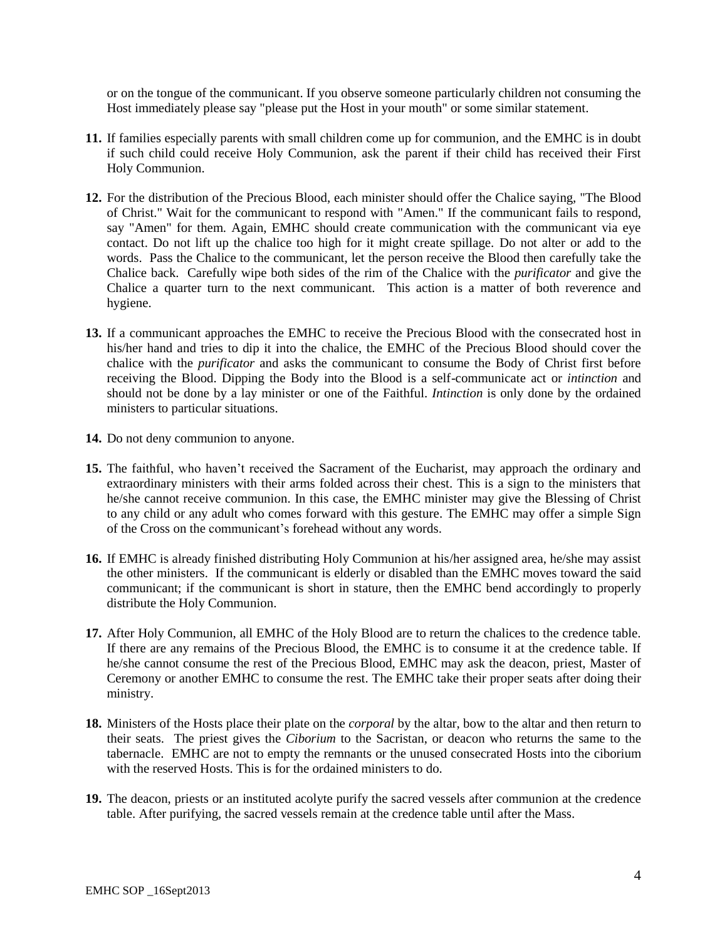or on the tongue of the communicant. If you observe someone particularly children not consuming the Host immediately please say "please put the Host in your mouth" or some similar statement.

- **11.** If families especially parents with small children come up for communion, and the EMHC is in doubt if such child could receive Holy Communion, ask the parent if their child has received their First Holy Communion.
- **12.** For the distribution of the Precious Blood, each minister should offer the Chalice saying, "The Blood of Christ." Wait for the communicant to respond with "Amen." If the communicant fails to respond, say "Amen" for them. Again, EMHC should create communication with the communicant via eye contact. Do not lift up the chalice too high for it might create spillage. Do not alter or add to the words. Pass the Chalice to the communicant, let the person receive the Blood then carefully take the Chalice back. Carefully wipe both sides of the rim of the Chalice with the *purificator* and give the Chalice a quarter turn to the next communicant. This action is a matter of both reverence and hygiene.
- **13.** If a communicant approaches the EMHC to receive the Precious Blood with the consecrated host in his/her hand and tries to dip it into the chalice, the EMHC of the Precious Blood should cover the chalice with the *purificator* and asks the communicant to consume the Body of Christ first before receiving the Blood. Dipping the Body into the Blood is a self-communicate act or *intinction* and should not be done by a lay minister or one of the Faithful. *Intinction* is only done by the ordained ministers to particular situations.
- **14.** Do not deny communion to anyone.
- **15.** The faithful, who haven't received the Sacrament of the Eucharist, may approach the ordinary and extraordinary ministers with their arms folded across their chest. This is a sign to the ministers that he/she cannot receive communion. In this case, the EMHC minister may give the Blessing of Christ to any child or any adult who comes forward with this gesture. The EMHC may offer a simple Sign of the Cross on the communicant's forehead without any words.
- **16.** If EMHC is already finished distributing Holy Communion at his/her assigned area, he/she may assist the other ministers. If the communicant is elderly or disabled than the EMHC moves toward the said communicant; if the communicant is short in stature, then the EMHC bend accordingly to properly distribute the Holy Communion.
- **17.** After Holy Communion, all EMHC of the Holy Blood are to return the chalices to the credence table. If there are any remains of the Precious Blood, the EMHC is to consume it at the credence table. If he/she cannot consume the rest of the Precious Blood, EMHC may ask the deacon, priest, Master of Ceremony or another EMHC to consume the rest. The EMHC take their proper seats after doing their ministry.
- **18.** Ministers of the Hosts place their plate on the *corporal* by the altar, bow to the altar and then return to their seats. The priest gives the *Ciborium* to the Sacristan, or deacon who returns the same to the tabernacle. EMHC are not to empty the remnants or the unused consecrated Hosts into the ciborium with the reserved Hosts. This is for the ordained ministers to do.
- **19.** The deacon, priests or an instituted acolyte purify the sacred vessels after communion at the credence table. After purifying, the sacred vessels remain at the credence table until after the Mass.